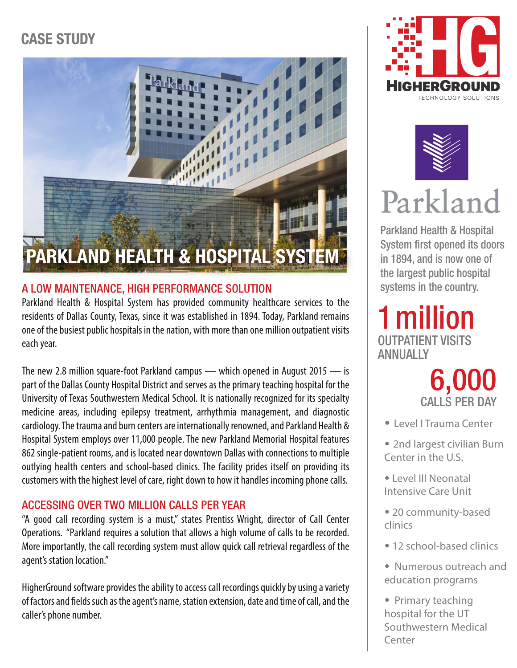## CASE STUDY

# **PARKLAND HEALTH & HOSPITAL SYSTEM**

### A LOW MAINTENANCE, HIGH PERFORMANCE SOLUTION

Parkland Health & Hospital System has provided community healthcare services to the residents of Dallas County, Texas, since it was established in 1894. Today, Parkland remains one of the busiest public hospitals in the nation, with more than one million outpatient visits each year.

The new 2.8 million square-foot Parkland campus — which opened in August 2015 — is part of the Dallas County Hospital District and serves as the primary teaching hospital for the University of Texas Southwestern Medical School. It is nationally recognized for its specialty medicine areas, including epilepsy treatment, arrhythmia management, and diagnostic cardiology. The trauma and burn centers are internationally renowned, and Parkland Health & Hospital System employs over 11,000 people. The new Parkland Memorial Hospital features 862 single-patient rooms, and is located near downtown Dallas with connections to multiple outlying health centers and school-based clinics. The facility prides itself on providing its customers with the highest level of care, right down to how it handles incoming phone calls.

### ACCESSING OVER TWO MILLION CALLS PER YEAR

"A good call recording system is a must," states Prentiss Wright, director of Call Center Operations. "Parkland requires a solution that allows a high volume of calls to be recorded. More importantly, the call recording system must allow quick call retrieval regardless of the agent's station location."

HigherGround software provides the ability to access call recordings quickly by using a variety of factors and fields such as the agent's name, station extension, date and time of call, and the caller's phone number.





# Parkland

Parkland Health & Hospital System first opened its doors in 1894, and is now one of the largest public hospital systems in the country.

1million OUTPATIENT VISITS ANNUALLY



• Level I Trauma Center

• 2nd largest civilian Burn Center in the U.S.

- Level III Neonatal Intensive Care Unit
- 20 community-based clinics
- 12 school-based clinics
- Numerous outreach and education programs
- Primary teaching hospital for the UT Southwestern Medical Center